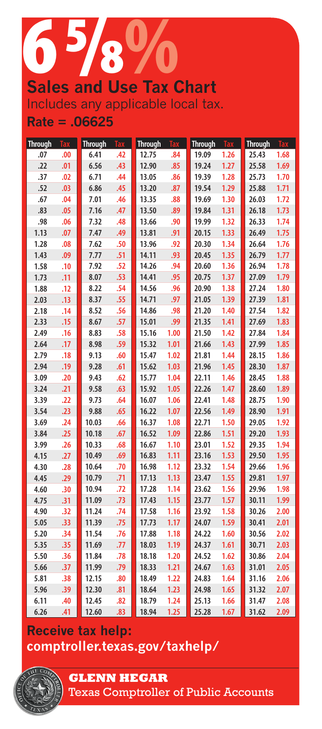# 65/ **Sales and Use Tax Chart** Includes any applicable local tax.

# **Rate = .06625**

| <b>Through</b> | <b>Tax</b> | <b>Through</b> | Tax | <b>Through</b> | <b>Tax</b> | <b>Through</b> | Tax  | <b>Through</b> | Tax  |
|----------------|------------|----------------|-----|----------------|------------|----------------|------|----------------|------|
| .07            | .00        | 6.41           | .42 | 12.75          | .84        | 19.09          | 1.26 | 25.43          | 1.68 |
| .22            | .01        | 6.56           | .43 | 12.90          | .85        | 19.24          | 1.27 | 25.58          | 1.69 |
| .37            | .02        | 6.71           | .44 | 13.05          | .86        | 19.39          | 1.28 | 25.73          | 1.70 |
| .52            | .03        | 6.86           | .45 | 13.20          | .87        | 19.54          | 1.29 | 25.88          | 1.71 |
| .67            | .04        | 7.01           | .46 | 13.35          | .88        | 19.69          | 1.30 | 26.03          | 1.72 |
| .83            | .05        | 7.16           | .47 | 13.50          | .89        | 19.84          | 1.31 | 26.18          | 1.73 |
| .98            | .06        | 7.32           | .48 | 13.66          | .90        | 19.99          | 1.32 | 26.33          | 1.74 |
| 1.13           | .07        | 7.47           | .49 | 13.81          | .91        | 20.15          | 1.33 | 26.49          | 1.75 |
| 1.28           | .08        | 7.62           | .50 | 13.96          | .92        | 20.30          | 1.34 | 26.64          | 1.76 |
| 1.43           | .09        | 7.77           | .51 | 14.11          | .93        | 20.45          | 1.35 | 26.79          | 1.77 |
| 1.58           | .10        | 7.92           | .52 | 14.26          | .94        | 20.60          | 1.36 | 26.94          | 1.78 |
| 1.73           | .11        | 8.07           | .53 | 14.41          | .95        | 20.75          | 1.37 | 27.09          | 1.79 |
| 1.88           | .12        | 8.22           | .54 | 14.56          | .96        | 20.90          | 1.38 | 27.24          | 1.80 |
| 2.03           | .13        | 8.37           | .55 | 14.71          | .97        | 21.05          | 1.39 | 27.39          | 1.81 |
| 2.18           | .14        | 8.52           | .56 | 14.86          | .98        | 21.20          | 1.40 | 27.54          | 1.82 |
| 2.33           | .15        | 8.67           | .57 | 15.01          | .99        | 21.35          | 1.41 | 27.69          | 1.83 |
| 2.49           | .16        | 8.83           | .58 | 15.16          | 1.00       | 21.50          | 1.42 | 27.84          | 1.84 |
| 2.64           | .17        | 8.98           | .59 | 15.32          | 1.01       | 21.66          | 1.43 | 27.99          | 1.85 |
| 2.79           | .18        | 9.13           | .60 | 15.47          | 1.02       | 21.81          | 1.44 | 28.15          | 1.86 |
| 2.94           | .19        | 9.28           | .61 | 15.62          | 1.03       | 21.96          | 1.45 | 28.30          | 1.87 |
| 3.09           | .20        | 9.43           | .62 | 15.77          | 1.04       | 22.11          | 1.46 | 28.45          | 1.88 |
| 3.24           | .21        | 9.58           | .63 | 15.92          | 1.05       | 22.26          | 1.47 | 28.60          | 1.89 |
| 3.39           | .22        | 9.73           | .64 | 16.07          | 1.06       | 22.41          | 1.48 | 28.75          | 1.90 |
| 3.54           | .23        | 9.88           | .65 | 16.22          | 1.07       | 22.56          | 1.49 | 28.90          | 1.91 |
| 3.69           | .24        | 10.03          | .66 | 16.37          | 1.08       | 22.71          | 1.50 | 29.05          | 1.92 |
| 3.84           | .25        | 10.18          | .67 | 16.52          | 1.09       | 22.86          | 1.51 | 29.20          | 1.93 |
| 3.99           | .26        | 10.33          | .68 | 16.67          | 1.10       | 23.01          | 1.52 | 29.35          | 1.94 |
| 4.15           | .27        | 10.49          | .69 | 16.83          | 1.11       | 23.16          | 1.53 | 29.50          | 1.95 |
| 4.30           | .28        | 10.64          | .70 | 16.98          | 1.12       | 23.32          | 1.54 | 29.66          | 1.96 |
| 4.45           | .29        | 10.79          | .71 | 17.13          | 1.13       | 23.47          | 1.55 | 29.81          | 1.97 |
| 4.60           | .30        | 10.94          | .72 | 17.28          | 1.14       | 23.62          | 1.56 | 29.96          | 1.98 |
| 4.75           | .31        | 11.09          | .73 | 17.43          | 1.15       | 23.77          | 1.57 | 30.11          | 1.99 |
| 4.90           | .32        | 11.24          | .74 | 17.58          | 1.16       | 23.92          | 1.58 | 30.26          | 2.00 |
| 5.05           | .33        | 11.39          | .75 | 17.73          | 1.17       | 24.07          | 1.59 | 30.41          | 2.01 |
| 5.20           | .34        | 11.54          | .76 | 17.88          | 1.18       | 24.22          | 1.60 | 30.56          | 2.02 |
| 5.35           | .35        | 11.69          | .77 | 18.03          | 1.19       | 24.37          | 1.61 | 30.71          | 2.03 |
| 5.50           | .36        | 11.84          | .78 | 18.18          | 1.20       | 24.52          | 1.62 | 30.86          | 2.04 |
| 5.66           | .37        | 11.99          | .79 | 18.33          | 1.21       | 24.67          | 1.63 | 31.01          | 2.05 |
| 5.81           | .38        | 12.15          | .80 | 18.49          | 1.22       | 24.83          | 1.64 | 31.16          | 2.06 |
| 5.96           | .39        | 12.30          | .81 | 18.64          | 1.23       | 24.98          | 1.65 | 31.32          | 2.07 |
| 6.11           | .40        | 12.45          | .82 | 18.79          | 1.24       | 25.13          | 1.66 | 31.47          | 2.08 |
| 6.26           | .41        | 12.60          | .83 | 18.94          | 1.25       | 25.28          | 1.67 | 31.62          | 2.09 |

# **Receive tax help: <comptroller.texas.gov/taxhelp/>**



**GLENN HEGAR** 

Texas Comptroller of Public Accounts